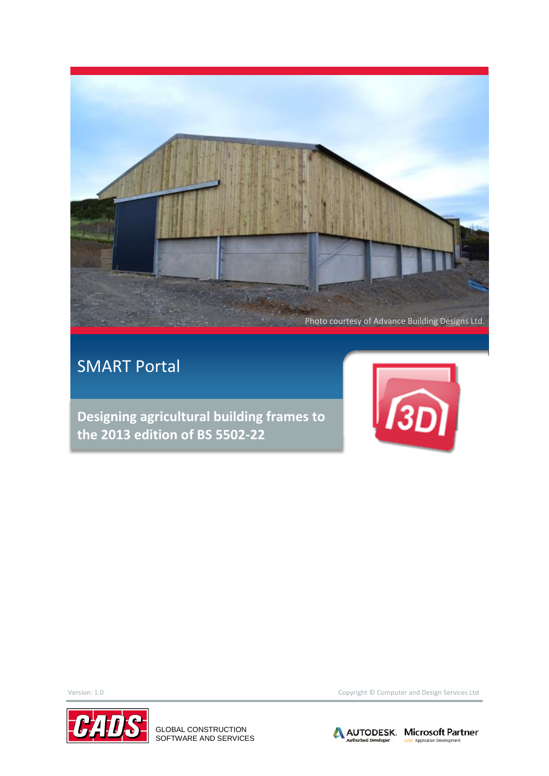

# SMART Portal

**Designing agricultural building frames to the 2013 edition of BS 5502-22**





GLOBAL CONSTRUCTION SOFTWARE AND SERVICES

Version: 1.0 Copyright © Computer and Design Services Ltd

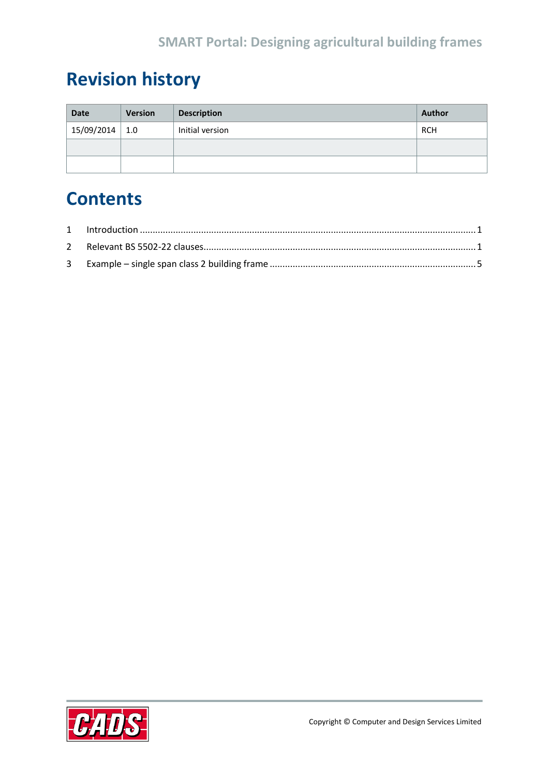# **Revision history**

| <b>Date</b>      | <b>Version</b> | <b>Description</b> | <b>Author</b> |
|------------------|----------------|--------------------|---------------|
| $15/09/2014$ 1.0 |                | Initial version    | RCH           |
|                  |                |                    |               |
|                  |                |                    |               |

# **Contents**

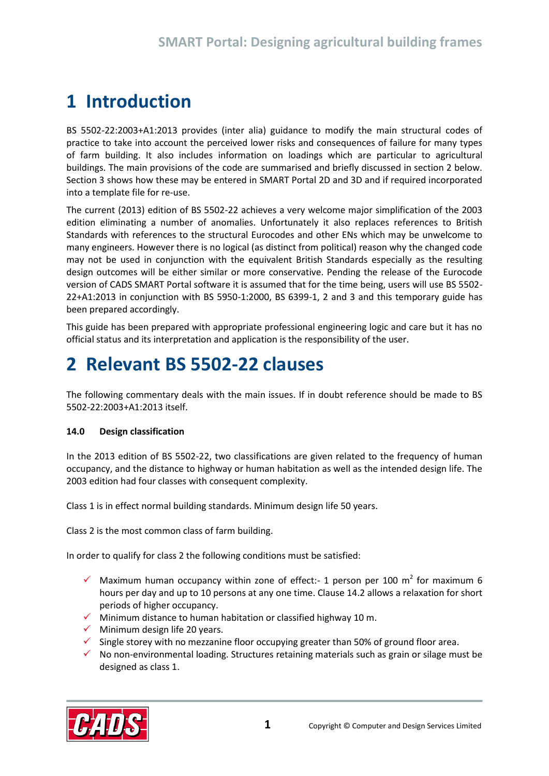# <span id="page-2-0"></span>**1 Introduction**

BS 5502-22:2003+A1:2013 provides (inter alia) guidance to modify the main structural codes of practice to take into account the perceived lower risks and consequences of failure for many types of farm building. It also includes information on loadings which are particular to agricultural buildings. The main provisions of the code are summarised and briefly discussed in section 2 below. Section 3 shows how these may be entered in SMART Portal 2D and 3D and if required incorporated into a template file for re-use.

The current (2013) edition of BS 5502-22 achieves a very welcome major simplification of the 2003 edition eliminating a number of anomalies. Unfortunately it also replaces references to British Standards with references to the structural Eurocodes and other ENs which may be unwelcome to many engineers. However there is no logical (as distinct from political) reason why the changed code may not be used in conjunction with the equivalent British Standards especially as the resulting design outcomes will be either similar or more conservative. Pending the release of the Eurocode version of CADS SMART Portal software it is assumed that for the time being, users will use BS 5502- 22+A1:2013 in conjunction with BS 5950-1:2000, BS 6399-1, 2 and 3 and this temporary guide has been prepared accordingly.

This guide has been prepared with appropriate professional engineering logic and care but it has no official status and its interpretation and application is the responsibility of the user.

# <span id="page-2-1"></span>**2 Relevant BS 5502-22 clauses**

The following commentary deals with the main issues. If in doubt reference should be made to BS 5502-22:2003+A1:2013 itself.

#### **14.0 Design classification**

In the 2013 edition of BS 5502-22, two classifications are given related to the frequency of human occupancy, and the distance to highway or human habitation as well as the intended design life. The 2003 edition had four classes with consequent complexity.

Class 1 is in effect normal building standards. Minimum design life 50 years.

Class 2 is the most common class of farm building.

In order to qualify for class 2 the following conditions must be satisfied:

- $\checkmark$  Maximum human occupancy within zone of effect:- 1 person per 100 m<sup>2</sup> for maximum 6 hours per day and up to 10 persons at any one time. Clause 14.2 allows a relaxation for short periods of higher occupancy.
- $\checkmark$  Minimum distance to human habitation or classified highway 10 m.
- $\checkmark$  Minimum design life 20 years.
- $\checkmark$  Single storey with no mezzanine floor occupying greater than 50% of ground floor area.
- $\checkmark$  No non-environmental loading. Structures retaining materials such as grain or silage must be designed as class 1.

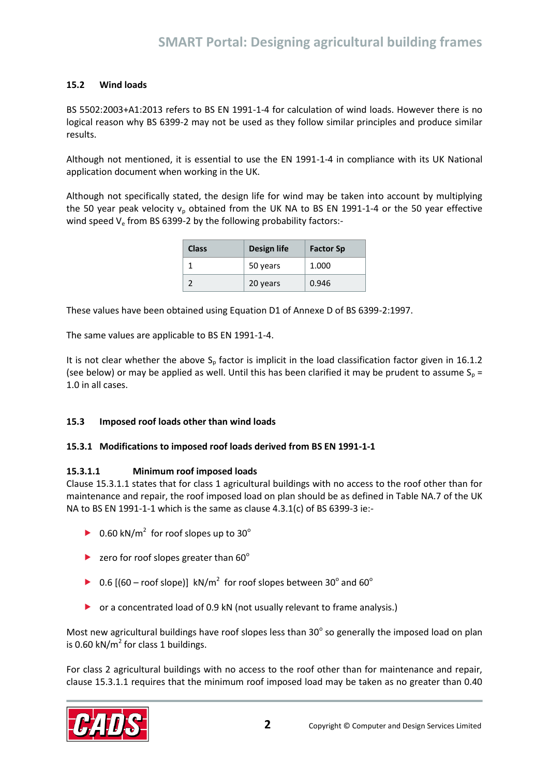#### **15.2 Wind loads**

BS 5502:2003+A1:2013 refers to BS EN 1991-1-4 for calculation of wind loads. However there is no logical reason why BS 6399-2 may not be used as they follow similar principles and produce similar results.

Although not mentioned, it is essential to use the EN 1991-1-4 in compliance with its UK National application document when working in the UK.

Although not specifically stated, the design life for wind may be taken into account by multiplying the 50 year peak velocity  $v_p$  obtained from the UK NA to BS EN 1991-1-4 or the 50 year effective wind speed  $V_e$  from BS 6399-2 by the following probability factors:-

| <b>Class</b> | <b>Design life</b> | <b>Factor Sp</b> |
|--------------|--------------------|------------------|
|              | 50 years           | 1.000            |
|              | 20 years           | 0.946            |

These values have been obtained using Equation D1 of Annexe D of BS 6399-2:1997.

The same values are applicable to BS EN 1991-1-4.

It is not clear whether the above  $S_p$  factor is implicit in the load classification factor given in 16.1.2 (see below) or may be applied as well. Until this has been clarified it may be prudent to assume  $S_p =$ 1.0 in all cases.

#### **15.3 Imposed roof loads other than wind loads**

#### **15.3.1 Modifications to imposed roof loads derived from BS EN 1991-1-1**

#### **15.3.1.1 Minimum roof imposed loads**

Clause 15.3.1.1 states that for class 1 agricultural buildings with no access to the roof other than for maintenance and repair, the roof imposed load on plan should be as defined in Table NA.7 of the UK NA to BS EN 1991-1-1 which is the same as clause 4.3.1(c) of BS 6399-3 ie:-

- ▶ 0.60 kN/m<sup>2</sup> for roof slopes up to 30 $^{\circ}$
- rero for roof slopes greater than  $60^\circ$
- ▶ 0.6 [(60 roof slope)]  $kN/m^2$  for roof slopes between 30 $^{\circ}$  and 60 $^{\circ}$
- or a concentrated load of 0.9 kN (not usually relevant to frame analysis.)

Most new agricultural buildings have roof slopes less than 30 $^{\circ}$  so generally the imposed load on plan is 0.60 kN/ $m<sup>2</sup>$  for class 1 buildings.

For class 2 agricultural buildings with no access to the roof other than for maintenance and repair, clause 15.3.1.1 requires that the minimum roof imposed load may be taken as no greater than 0.40

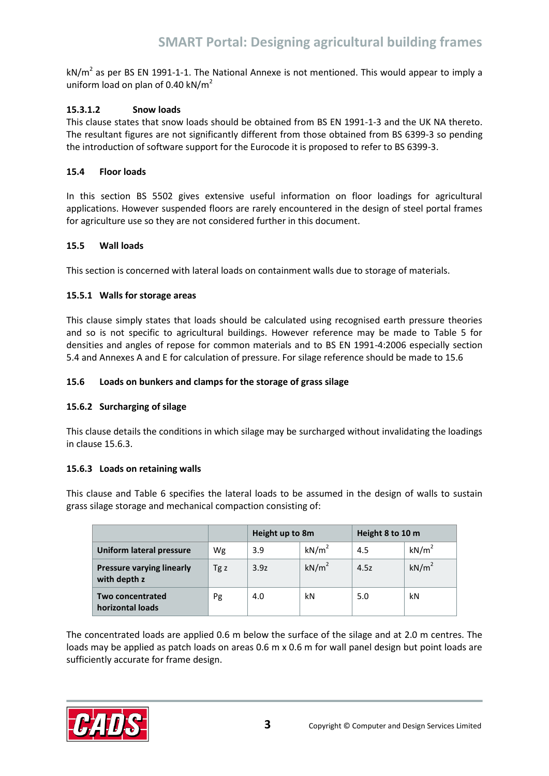kN/m<sup>2</sup> as per BS EN 1991-1-1. The National Annexe is not mentioned. This would appear to imply a uniform load on plan of 0.40 kN/m<sup>2</sup>

#### **15.3.1.2 Snow loads**

This clause states that snow loads should be obtained from BS EN 1991-1-3 and the UK NA thereto. The resultant figures are not significantly different from those obtained from BS 6399-3 so pending the introduction of software support for the Eurocode it is proposed to refer to BS 6399-3.

#### **15.4 Floor loads**

In this section BS 5502 gives extensive useful information on floor loadings for agricultural applications. However suspended floors are rarely encountered in the design of steel portal frames for agriculture use so they are not considered further in this document.

#### **15.5 Wall loads**

This section is concerned with lateral loads on containment walls due to storage of materials.

#### **15.5.1 Walls for storage areas**

This clause simply states that loads should be calculated using recognised earth pressure theories and so is not specific to agricultural buildings. However reference may be made to Table 5 for densities and angles of repose for common materials and to BS EN 1991-4:2006 especially section 5.4 and Annexes A and E for calculation of pressure. For silage reference should be made to 15.6

#### **15.6 Loads on bunkers and clamps for the storage of grass silage**

#### **15.6.2 Surcharging of silage**

This clause details the conditions in which silage may be surcharged without invalidating the loadings in clause 15.6.3.

#### **15.6.3 Loads on retaining walls**

This clause and Table 6 specifies the lateral loads to be assumed in the design of walls to sustain grass silage storage and mechanical compaction consisting of:

|                                                  |      | Height up to 8m |                   | Height 8 to 10 m |                   |
|--------------------------------------------------|------|-----------------|-------------------|------------------|-------------------|
| <b>Uniform lateral pressure</b>                  | Wg   | 3.9             | kN/m <sup>2</sup> | 4.5              | kN/m <sup>2</sup> |
| <b>Pressure varying linearly</b><br>with depth z | Tg z | 3.9z            | kN/m <sup>2</sup> | 4.5z             | kN/m <sup>2</sup> |
| <b>Two concentrated</b><br>horizontal loads      | Pg   | 4.0             | kN                | 5.0              | kN                |

The concentrated loads are applied 0.6 m below the surface of the silage and at 2.0 m centres. The loads may be applied as patch loads on areas 0.6 m x 0.6 m for wall panel design but point loads are sufficiently accurate for frame design.

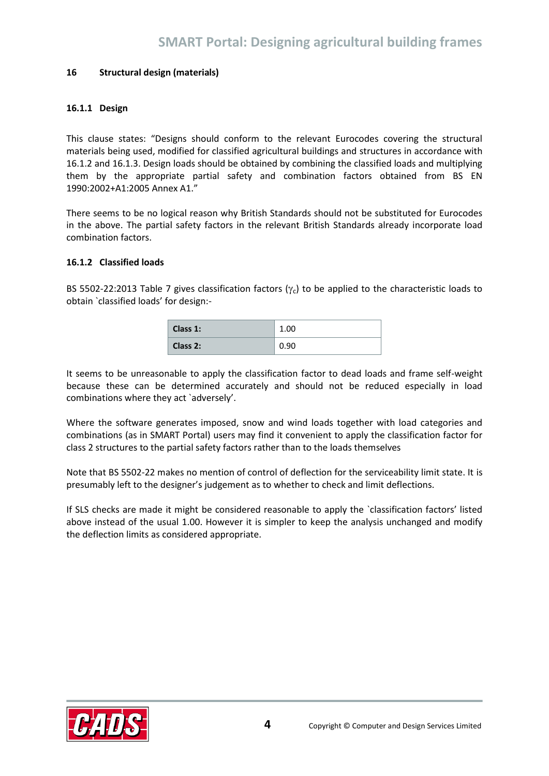#### **16 Structural design (materials)**

#### **16.1.1 Design**

This clause states: "Designs should conform to the relevant Eurocodes covering the structural materials being used, modified for classified agricultural buildings and structures in accordance with 16.1.2 and 16.1.3. Design loads should be obtained by combining the classified loads and multiplying them by the appropriate partial safety and combination factors obtained from BS EN 1990:2002+A1:2005 Annex A1."

There seems to be no logical reason why British Standards should not be substituted for Eurocodes in the above. The partial safety factors in the relevant British Standards already incorporate load combination factors.

#### **16.1.2 Classified loads**

BS 5502-22:2013 Table 7 gives classification factors  $(\gamma_c)$  to be applied to the characteristic loads to obtain `classified loads' for design:-

| Class 1: | 1.00 |
|----------|------|
| Class 2: | 0.90 |

It seems to be unreasonable to apply the classification factor to dead loads and frame self-weight because these can be determined accurately and should not be reduced especially in load combinations where they act `adversely'.

Where the software generates imposed, snow and wind loads together with load categories and combinations (as in SMART Portal) users may find it convenient to apply the classification factor for class 2 structures to the partial safety factors rather than to the loads themselves

Note that BS 5502-22 makes no mention of control of deflection for the serviceability limit state. It is presumably left to the designer's judgement as to whether to check and limit deflections.

If SLS checks are made it might be considered reasonable to apply the `classification factors' listed above instead of the usual 1.00. However it is simpler to keep the analysis unchanged and modify the deflection limits as considered appropriate.

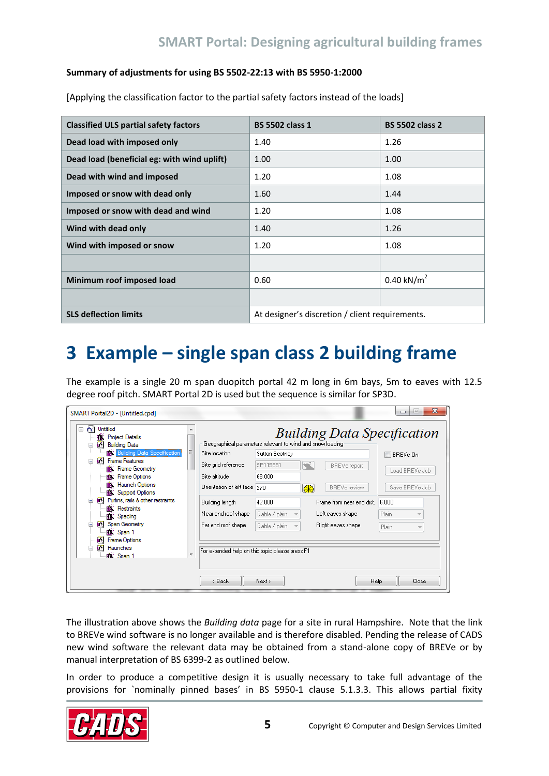#### **Summary of adjustments for using BS 5502-22:13 with BS 5950-1:2000**

[Applying the classification factor to the partial safety factors instead of the loads]

| <b>Classified ULS partial safety factors</b> | <b>BS 5502 class 1</b>                          | <b>BS 5502 class 2</b> |
|----------------------------------------------|-------------------------------------------------|------------------------|
| Dead load with imposed only                  | 1.40                                            | 1.26                   |
| Dead load (beneficial eg: with wind uplift)  | 1.00                                            | 1.00                   |
| Dead with wind and imposed                   | 1.20                                            | 1.08                   |
| Imposed or snow with dead only               | 1.60                                            | 1.44                   |
| Imposed or snow with dead and wind           | 1.20                                            | 1.08                   |
| Wind with dead only                          | 1.40                                            | 1.26                   |
| Wind with imposed or snow                    | 1.20                                            | 1.08                   |
|                                              |                                                 |                        |
| Minimum roof imposed load                    | 0.60                                            | $0.40 \text{ kN/m}^2$  |
|                                              |                                                 |                        |
| <b>SLS deflection limits</b>                 | At designer's discretion / client requirements. |                        |

# <span id="page-6-0"></span>**3 Example – single span class 2 building frame**

The example is a single 20 m span duopitch portal 42 m long in 6m bays, 5m to eaves with 12.5 degree roof pitch. SMART Portal 2D is used but the sequence is similar for SP3D.

| SMART Portal2D - [Untitled.cpd]<br>Untitled<br>$\Box$<br><b>图 Project Details</b><br>[St] Building Data |                              | Geographical parameters relevant to wind and snow loading | <b>Building Data Specification</b> | $\mathbf{x}$<br>▭ |
|---------------------------------------------------------------------------------------------------------|------------------------------|-----------------------------------------------------------|------------------------------------|-------------------|
| <b>Building Data Specification</b>                                                                      | Ξ<br>Site location           | Sutton Scotney                                            |                                    | BREVe On          |
| <b>ax</b> ] Frame Features<br>曰<br><b>Frame Geometry</b><br>癰                                           | Site grid reference          | SP115851                                                  | <b>BREVe report</b>                | Load BREVe Job    |
| 麕<br><b>Frame Options</b>                                                                               | Site altitude                | 68.000                                                    |                                    |                   |
| 瞝<br>Haunch Options<br>n.<br><b>Support Options</b>                                                     | Orientation of left face 270 | கூ                                                        | <b>BREVe review</b>                | Save BREVe Job    |
| [88] Purlins, rails & other restraints<br>E<br><b>图 Restraints</b>                                      | Building length              | 42.000                                                    | Frame from near end dist.          | 6.000             |
| <b>图 Spacing</b>                                                                                        | Near end roof shape          | Gable / plain                                             | Left eaves shape                   | Plain             |
| [Span Geometry<br>$\Box$<br>鹽 Span 1                                                                    | Far end roof shape           | Gable / plain                                             | Right eaves shape                  | Plain             |
| 51<br>Frame Options<br>[85] Haunches                                                                    | $\overline{\phantom{a}}$     | For extended help on this topic please press F1           |                                    |                   |
| <b>Box</b> Span 1                                                                                       | < Back                       | Next >                                                    | Help                               | Close             |

The illustration above shows the *Building data* page for a site in rural Hampshire. Note that the link to BREVe wind software is no longer available and is therefore disabled. Pending the release of CADS new wind software the relevant data may be obtained from a stand-alone copy of BREVe or by manual interpretation of BS 6399-2 as outlined below.

In order to produce a competitive design it is usually necessary to take full advantage of the provisions for `nominally pinned bases' in BS 5950-1 clause 5.1.3.3. This allows partial fixity

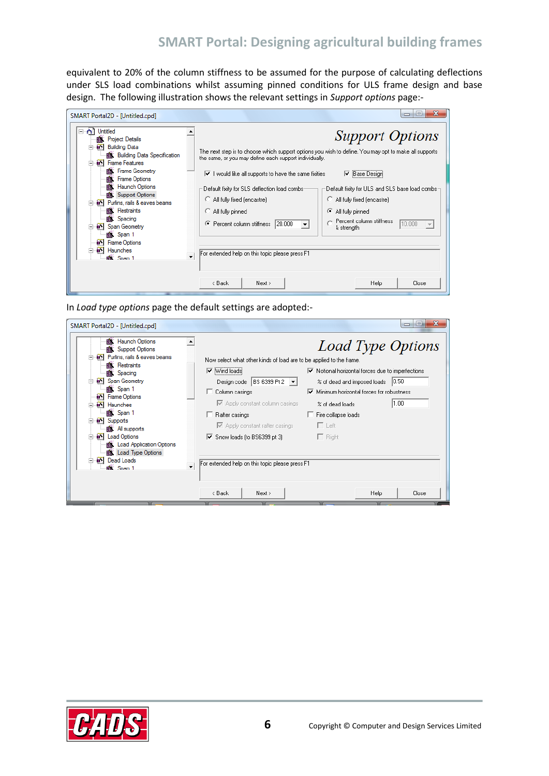equivalent to 20% of the column stiffness to be assumed for the purpose of calculating deflections under SLS load combinations whilst assuming pinned conditions for ULS frame design and base design. The following illustration shows the relevant settings in *Support options* page:-

| SMART Portal2D - [Untitled.cpd]                                                                                                                                                                                                                                                                                                                                                                                                                                                | $\Box$                                                                                                                                                                                                                                                                                                                                                                                                                                                                                                                                                                                                                                                                                                                                       |       |
|--------------------------------------------------------------------------------------------------------------------------------------------------------------------------------------------------------------------------------------------------------------------------------------------------------------------------------------------------------------------------------------------------------------------------------------------------------------------------------|----------------------------------------------------------------------------------------------------------------------------------------------------------------------------------------------------------------------------------------------------------------------------------------------------------------------------------------------------------------------------------------------------------------------------------------------------------------------------------------------------------------------------------------------------------------------------------------------------------------------------------------------------------------------------------------------------------------------------------------------|-------|
| Untitled<br><b>图 Project Details</b><br>[ST] Building Data<br>· pii Building Data Specification<br><b>B</b> <sup>S</sup> Frame Features<br>E<br>· p Frame Geometry<br>顣<br><b>Frame Options</b><br><b>图 Haunch Options</b><br>Support Options<br><b>a</b> <sup>8</sup> Purlins, rails & eaves beams<br><b>B</b> Restraints<br><b>1 Spacing</b><br><b>a</b> <sup>S</sup> Span Geometry<br>e Span 1<br><b>Frame Options</b><br>64<br><b>a</b> <sup>S</sup> Haunches<br>·魔 Span 1 | <b>Support Options</b><br>The next step is to choose which support options you wish to define. You may opt to make all supports<br>the same, or you may define each support individually.<br>$\triangledown$ I would like all supports to have the same fixities<br>Base Design<br>▿<br>Default fixity for ULS and SLS base load combs-<br>Default fixity for SLS deflection load combs:<br>All fully fixed (encastre)<br>All fully fixed (encastre)<br>C All fully pinned<br>All fully pinned<br>Œ<br>Percent column stiffness<br>10.000<br> 20.000 <br>Percent column stiffness<br>G.<br>$\overline{\phantom{a}}$<br>& strength<br>For extended help on this topic please press F1<br>$\overline{\phantom{a}}$<br>< Back<br>Next ><br>Help | Close |
|                                                                                                                                                                                                                                                                                                                                                                                                                                                                                |                                                                                                                                                                                                                                                                                                                                                                                                                                                                                                                                                                                                                                                                                                                                              |       |

In *Load type options* page the default settings are adopted:-

| SMART Portal2D - [Untitled.cpd]                                                                                                                                                                                                                                                                                                                                                                                                                 | x<br>ıн<br>$\Box$                                                                                                                                                                                                                                                                                                                                                                                                                                                                                                                                                                         |
|-------------------------------------------------------------------------------------------------------------------------------------------------------------------------------------------------------------------------------------------------------------------------------------------------------------------------------------------------------------------------------------------------------------------------------------------------|-------------------------------------------------------------------------------------------------------------------------------------------------------------------------------------------------------------------------------------------------------------------------------------------------------------------------------------------------------------------------------------------------------------------------------------------------------------------------------------------------------------------------------------------------------------------------------------------|
| 鹽 Haunch Options<br><b>Box</b> : Support Options<br>[88] Purlins, rails & eaves beams<br><b>But</b> Restraints<br><b>藤 Spacing</b><br><b>a</b> <sup>y</sup> Span Geometry<br><b>藤 Span 1</b><br><b>Frame Options</b><br>ŦЛ<br><b>BY</b> Haunches<br>a Span 1<br><b>B</b> <sup>x</sup> Supports<br><b>B</b> All supports<br><b>EX</b> Load Options<br>⊟<br><b>图: Load Application Options</b><br><b>图 Load Type Options</b><br><b>Dead Loads</b> | Load Type Options<br>Now select what other kinds of load are to be applied to the frame.<br>$\triangledown$ Notional horizontal forces due to imperfections<br>$\blacktriangleright$ [Wind loads]<br>Design code   BS 6399 Pt 2 $ \bullet $<br>% of dead and imposed loads   0.50<br>$\nabla$ Minimum horizontal forces for robustness<br>Column casings<br>1.00<br>■ Apply constant column casings<br>% of dead loads<br>$\Box$ Fire collapse loads<br>□ Rafter casings<br>$\Box$ Left<br>■ Apply constant rafter casings<br>$\triangledown$ Snow loads (to BS6399 pt 3)<br>$\Box$ Right |
| ll Span 1                                                                                                                                                                                                                                                                                                                                                                                                                                       | For extended help on this topic please press F1<br>< Back<br>Next ><br>Help<br>Close                                                                                                                                                                                                                                                                                                                                                                                                                                                                                                      |
|                                                                                                                                                                                                                                                                                                                                                                                                                                                 |                                                                                                                                                                                                                                                                                                                                                                                                                                                                                                                                                                                           |

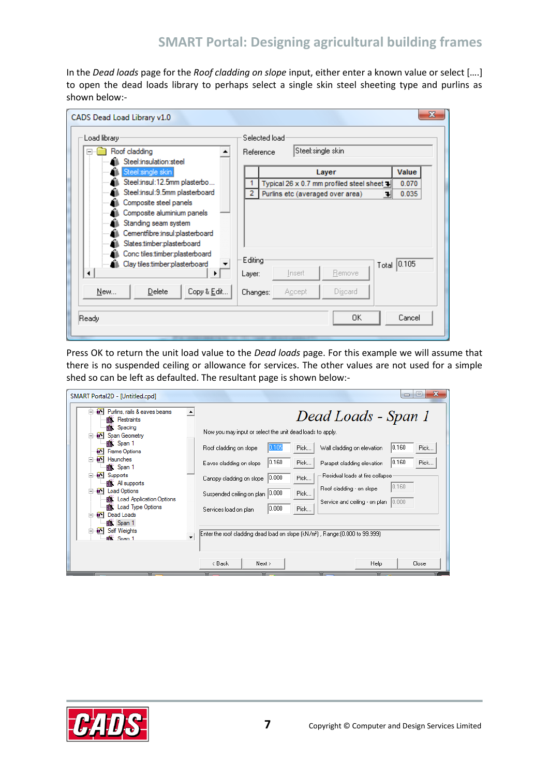In the *Dead loads* page for the *Roof cladding on slope* input, either enter a known value or select [….] to open the dead loads library to perhaps select a single skin steel sheeting type and purlins as shown below:-

| CADS Dead Load Library v1.0                                                                                                                                                    | x                                                         |
|--------------------------------------------------------------------------------------------------------------------------------------------------------------------------------|-----------------------------------------------------------|
| Load library-                                                                                                                                                                  | Selected load                                             |
| Roof cladding<br>$\overline{}$<br>Steel:insulation:steel                                                                                                                       | Steel:single skin<br>Reference                            |
| Steel:single skin                                                                                                                                                              | Value<br>Layer                                            |
| Steel:insul:12.5mm plasterbo<br>Steel:insul:9.5mm plasterboard                                                                                                                 | 0.070<br>Typical 26 x 0.7 mm profiled steel sheet +<br>2  |
| Composite steel panels<br>Composite aluminium panels<br>Standing seam system<br>Cementfibre:insul:plasterboard<br>Slates.timber:plasterboard<br>Conc tiles timber:plasterboard | 0.035<br>Purlins etc (averaged over area)<br>ᅰ<br>Editing |
| Clay tiles timber:plasterboard<br>Æ.<br>◀                                                                                                                                      | Total 0.105<br>Remove<br>Insert<br>Layer:                 |
| Copy & Edit<br>New<br>Delete                                                                                                                                                   | Discard<br>Accept<br>Changes:                             |
| Ready                                                                                                                                                                          | Cancel<br>OΚ                                              |

Press OK to return the unit load value to the *Dead loads* page. For this example we will assume that there is no suspended ceiling or allowance for services. The other values are not used for a simple shed so can be left as defaulted. The resultant page is shown below:-

| SMART Portal2D - [Untitled.cpd]                                                                                                                                                                                                                                                                                                                                                                                                                                             | $\Box$<br>$\Box$                                                                                                                                                                                                                                                                                                                                                                                                                                                                                                                                                                                          |
|-----------------------------------------------------------------------------------------------------------------------------------------------------------------------------------------------------------------------------------------------------------------------------------------------------------------------------------------------------------------------------------------------------------------------------------------------------------------------------|-----------------------------------------------------------------------------------------------------------------------------------------------------------------------------------------------------------------------------------------------------------------------------------------------------------------------------------------------------------------------------------------------------------------------------------------------------------------------------------------------------------------------------------------------------------------------------------------------------------|
| <b>BY</b> Purlins, rails & eaves beams<br>۰<br>Restraints<br>癰<br><b>图 Spacing</b><br>Span Geometry<br>⊟<br>麟 Span 1<br><b>Frame Options</b><br>ЪN<br><b>a</b> <sup>S</sup> Haunches<br>巨<br>· Span 1<br>[Supports]<br>⊟<br><b>Box</b> All supports<br><b>EX</b> Load Options<br>F.<br><b>图 Load Application Options</b><br><b>图 Load Type Options</b><br><b>Dead Loads</b><br><b>臨</b> Span 1<br><b>Self Weights</b><br>白<br>$\overline{\phantom{a}}$<br><b>Box</b> Span 1 | Dead Loads - Span 1<br>Now you may input or select the unit dead loads to apply.<br>0.160<br>Pick<br>Roof cladding on slope<br>Pick<br>Wall cladding on elevation<br> 0.160 <br> 0.160 <br>Pick<br>Pick<br>Parapet cladding elevation<br>Eaves cladding on slope<br>Residual loads at fire collapse<br> 0.000 <br>Pick<br>Canopy cladding on slope<br>[0.160]<br>Roof cladding - on slope<br>Suspended ceiling on plan 0.000<br>Pick<br>Service and ceiling - on plan  0.000<br> 0.000 <br>Pick<br>Services load on plan<br>[Enter the roof cladding dead load on slope (kN/m2), Range: (0.000 to 99.999) |
|                                                                                                                                                                                                                                                                                                                                                                                                                                                                             | < Back<br><b>Help</b><br>Next ><br>Close                                                                                                                                                                                                                                                                                                                                                                                                                                                                                                                                                                  |

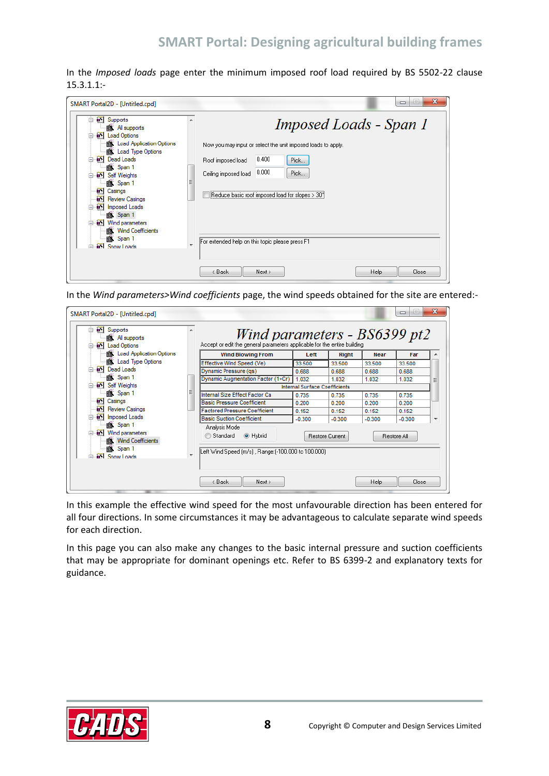In the *Imposed loads* page enter the minimum imposed roof load required by BS 5502-22 clause 15.3.1.1:-

| SMART Portal2D - [Untitled.cpd]                                                                                                                                                                                                                                                                                                                                                                                                                        |                          | ж<br>$=$<br>▭                                                                                                                                                                                                                                                               |
|--------------------------------------------------------------------------------------------------------------------------------------------------------------------------------------------------------------------------------------------------------------------------------------------------------------------------------------------------------------------------------------------------------------------------------------------------------|--------------------------|-----------------------------------------------------------------------------------------------------------------------------------------------------------------------------------------------------------------------------------------------------------------------------|
| [St] Supports<br><b>BOOT</b> All supports<br><b>a</b> <sup>5</sup> Load Options<br><b>1 Load Application Options</b><br><b>B</b> Load Type Options<br><b>a</b> <sup>y</sup> Dead Loads<br>· pan 1<br><b>a</b> <sup>x</sup> Self Weights<br>$=$<br>图 Span 1<br>EЯ<br>Casings<br><b>Review Casings</b><br>59<br>[85] Imposed Loads<br>⊟<br><b>图 Span 1</b><br>[85] Wind parameters<br><b>use:</b> Wind Coefficients<br>· Span 1<br><b>EXI</b> Snow Loads | $\overline{\phantom{a}}$ | Imposed Loads - Span 1<br>Now you may input or select the unit imposed loads to apply.<br>0.400<br>Pick<br>Roof imposed load<br>0.000<br>Pick<br>Ceiling imposed load<br>Reduce basic roof imposed load for slopes > 30*<br>For extended help on this topic please press F1 |
|                                                                                                                                                                                                                                                                                                                                                                                                                                                        |                          | < Back<br>Next ><br>Help<br>Close                                                                                                                                                                                                                                           |

In the *Wind parameters>Wind coefficients* page, the wind speeds obtained for the site are entered:-

| SMART Portal2D - [Untitled.cpd]                                                                      |   |                                                                                                          |                                      |                 |             | $\left  \equiv \right $<br>$\qquad \qquad \Box$ | $\mathbf{x}$             |
|------------------------------------------------------------------------------------------------------|---|----------------------------------------------------------------------------------------------------------|--------------------------------------|-----------------|-------------|-------------------------------------------------|--------------------------|
| <b>a</b> <sup>y</sup> Supports<br><b>B</b> All supports<br><b>a</b> <sup>8</sup> Load Options<br>⋿   |   | Wind parameters - BS6399 pt2<br>Accept or edit the general parameters applicable for the entire building |                                      |                 |             |                                                 |                          |
| · pii Load Application Options                                                                       |   | <b>Wind Blowing From</b>                                                                                 | Left                                 | <b>Right</b>    | <b>Near</b> | Far                                             |                          |
| <b>ai Load Type Options</b>                                                                          |   | Effective Wind Speed (Ve)                                                                                | 33.500                               | 33.500          | 33.500      | 33.500                                          |                          |
| <b>a</b> <sup><i>s</i></sup> Dead Loads                                                              |   | Dynamic Pressure (qs)                                                                                    | 0.688                                | 0.688           | 0.688       | 0.688                                           |                          |
| 以 Span 1                                                                                             |   | Dynamic Augmentation Factor (1+Cr)                                                                       | 1.032                                | 1.032           | 1.032       | 1.032                                           | Ξ                        |
| is <sup>s</sup> Self Weights                                                                         |   |                                                                                                          | <b>Internal Surface Coefficients</b> |                 |             |                                                 |                          |
| <b>鹽 Span 1</b>                                                                                      | Ξ | Internal Size Effect Factor Ca                                                                           | 0.735                                | 0.735           | 0.735       | 0.735                                           |                          |
| 69<br>Casings                                                                                        |   | <b>Basic Pressure Coefficient</b>                                                                        | 0.200                                | 0.200           | 0.200       | 0.200                                           |                          |
| EЯ<br><b>Review Casings</b>                                                                          |   | <b>Factored Pressure Coefficient</b>                                                                     | 0.152                                | 0.152           | 0.152       | 0.152                                           |                          |
| [85] Imposed Loads<br>⊟                                                                              |   | <b>Basic Suction Coefficient</b>                                                                         | $-0.300$                             | $-0.300$        | $-0.300$    | $-0.300$                                        | $\overline{\phantom{a}}$ |
| <b>藤 Span 1</b><br><b>No. 15</b> Wind parameters<br>$=$<br><b>use:</b> Wind Coefficients<br>e Span 1 |   | Analysis Mode<br>O Hybrid<br>Standard<br>⋒<br>Left Wind Speed [m/s], Range:[-100.000 to 100.000]         |                                      | Restore Current |             | Restore All                                     |                          |
| <b>ENL</b> Snow Loads                                                                                |   | < Back<br>Next                                                                                           |                                      |                 | <b>Help</b> | Close                                           |                          |

In this example the effective wind speed for the most unfavourable direction has been entered for all four directions. In some circumstances it may be advantageous to calculate separate wind speeds for each direction.

In this page you can also make any changes to the basic internal pressure and suction coefficients that may be appropriate for dominant openings etc. Refer to BS 6399-2 and explanatory texts for guidance.

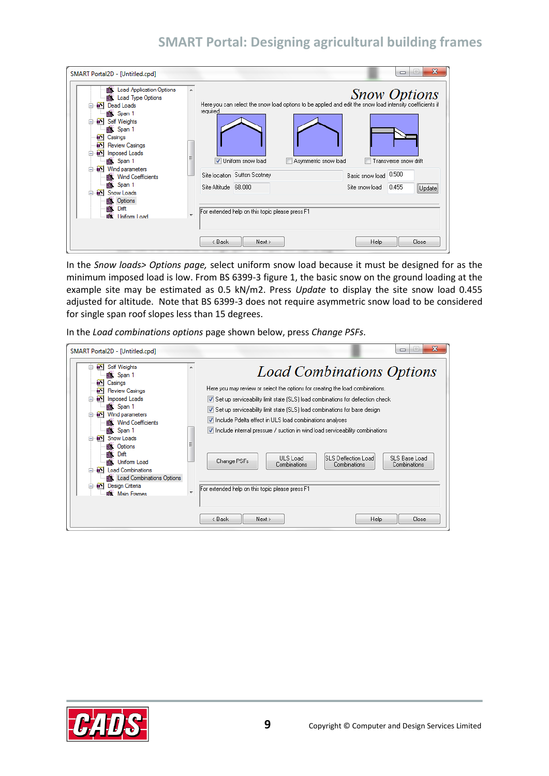| SMART Portal2D - [Untitled.cpd]                                                                                                                                                                                                                                                                                                                                                                                                                         |   | X<br>i ca i<br>▭                                                                                                                                                                                                                                                                                                                                                                            |
|---------------------------------------------------------------------------------------------------------------------------------------------------------------------------------------------------------------------------------------------------------------------------------------------------------------------------------------------------------------------------------------------------------------------------------------------------------|---|---------------------------------------------------------------------------------------------------------------------------------------------------------------------------------------------------------------------------------------------------------------------------------------------------------------------------------------------------------------------------------------------|
| <b>Load Application Options</b><br>癰<br><b>图 Load Type Options</b><br><b>a</b> <sup><i>s</i></sup> Dead Loads<br>e Span 1<br><b>a</b> <sup>y</sup> Self Weights<br>╒<br>e Span 1<br>Casings<br>Đ.<br><b>Review Casings</b><br>Đ.<br>E.<br>Imposed Loads<br>$\Box$<br>· Span 1<br>[85] Wind parameters<br>⊟<br><b>藤 Wind Coefficients</b><br>图 Span 1<br><b>a</b> <sup>y</sup> Snow Loads<br>⋿<br>图 Options<br><b>图 Drift</b><br><b>Box</b> Uniform Load | ▲ | <b>Snow Options</b><br>Here you can select the snow load options to be applied and edit the snow load intensity coefficients if<br>required<br>V Uniform snow load<br>Asymmetric snow load<br>ransverse snow drift<br>Basic snow load 0.500<br>Site location Sutton Scotney<br>Site Altitude 68,000<br>0.455<br>Site snow load<br>Update<br>For extended help on this topic please press F1 |
|                                                                                                                                                                                                                                                                                                                                                                                                                                                         |   | <b>Help</b><br>< Back<br>Next ><br>Close                                                                                                                                                                                                                                                                                                                                                    |

In the *Snow loads> Options page,* select uniform snow load because it must be designed for as the minimum imposed load is low. From BS 6399-3 figure 1, the basic snow on the ground loading at the example site may be estimated as 0.5 kN/m2. Press *Update* to display the site snow load 0.455 adjusted for altitude. Note that BS 6399-3 does not require asymmetric snow load to be considered for single span roof slopes less than 15 degrees.

In the *Load combinations options* page shown below, press *Change PSFs*.

| SMART Portal2D - [Untitled.cpd]                                                                                                                                                                                                                                                                                                                                                                                                                                  |                          | $\mathbf{x}$<br>i=<br>$\Box$                                                                                                                                                                                                                                                                                                                                                                                                                                                                                                                                                                                  |
|------------------------------------------------------------------------------------------------------------------------------------------------------------------------------------------------------------------------------------------------------------------------------------------------------------------------------------------------------------------------------------------------------------------------------------------------------------------|--------------------------|---------------------------------------------------------------------------------------------------------------------------------------------------------------------------------------------------------------------------------------------------------------------------------------------------------------------------------------------------------------------------------------------------------------------------------------------------------------------------------------------------------------------------------------------------------------------------------------------------------------|
| [Self Weights]<br><b>藤 Span 1</b><br>E.<br>Casings<br>64<br><b>Review Casings</b><br>in <sup>x</sup> Imposed Loads<br>19 Span 1<br><b>a</b> <sup>8</sup> Wind parameters<br>$\equiv$<br><b>图 Wind Coefficients</b><br><b>图 Span 1</b><br><b>BY</b> Snow Loads<br>$\equiv$<br>图 Options<br>霞<br>Drift<br><b>BK</b> Uniform Load<br><b>a</b> <sup>S</sup> Load Combinations<br>图: Load Combinations Options<br><b>BX</b> Design Criteria<br><b>BOL</b> Main Frames | $\overline{\phantom{a}}$ | <b>Load Combinations Options</b><br>Here you may review or select the options for creating the load combinations.<br>Set up serviceability limit state (SLS) load combinations for deflection check<br>Set up serviceability limit state (SLS) load combinations for base design<br>Ⅳ Include Pdelta effect in ULS load combinations analyses<br>I Include internal pressure / suction in wind load serviceability combinations<br>ULS Load<br><b>ISLS Deflection Load</b><br>SLS Base Load<br>Change PSFs<br>Combinations<br>Combinations<br>Combinations<br>For extended help on this topic please press F1 |
|                                                                                                                                                                                                                                                                                                                                                                                                                                                                  |                          | Next<br>Close<br>< Back<br><b>Help</b>                                                                                                                                                                                                                                                                                                                                                                                                                                                                                                                                                                        |

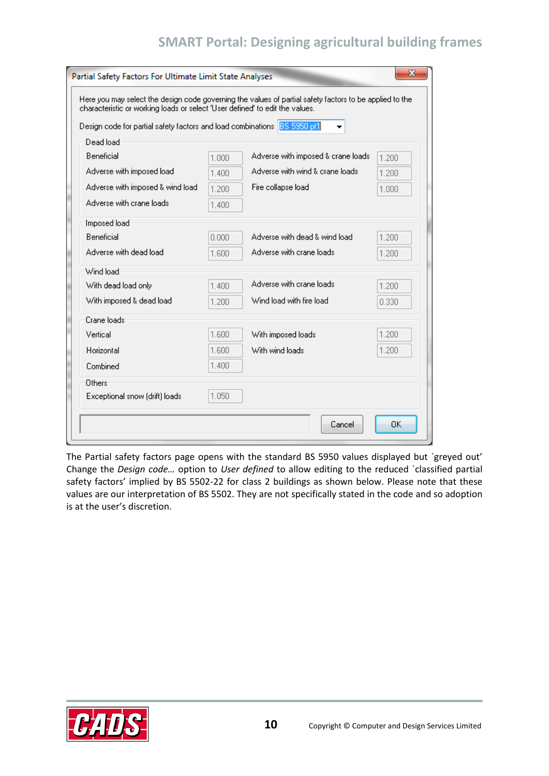| characteristic or working loads or select 'User defined' to edit the values. |       |                                    |       |
|------------------------------------------------------------------------------|-------|------------------------------------|-------|
| Design code for partial safety factors and load combinations BS 5950 pt1     |       |                                    |       |
| Dead load<br>Beneficial                                                      | 1.000 | Adverse with imposed & crane loads | 1.200 |
| Adverse with imposed load                                                    | 1.400 | Adverse with wind & crane loads    | 1.200 |
| Adverse with imposed & wind load                                             | 1.200 | Fire collapse load                 | 1.000 |
| Adverse with crane loads                                                     | 1.400 |                                    |       |
| Imposed load                                                                 |       |                                    |       |
| <b>Beneficial</b>                                                            | 0.000 | Adverse with dead & wind load      | 1.200 |
| Adverse with dead load                                                       | 1.600 | Adverse with crane loads.          | 1.200 |
| Wind load                                                                    |       |                                    |       |
| With dead load only                                                          | 1.400 | Adverse with crane loads           | 1.200 |
| With imposed & dead load                                                     | 1.200 | Wind load with fire load           | 0.330 |
| Crane loads                                                                  |       |                                    |       |
| Vertical                                                                     | 1.600 | With imposed loads                 | 1.200 |
| Horizontal                                                                   | 1.600 | With wind loads                    | 1.200 |
| Combined                                                                     | 1.400 |                                    |       |
| Others                                                                       |       |                                    |       |
| Exceptional snow (drift) loads                                               | 1.050 |                                    |       |

The Partial safety factors page opens with the standard BS 5950 values displayed but `greyed out' Change the *Design code…* option to *User defined* to allow editing to the reduced `classified partial safety factors' implied by BS 5502-22 for class 2 buildings as shown below. Please note that these values are our interpretation of BS 5502. They are not specifically stated in the code and so adoption is at the user's discretion.

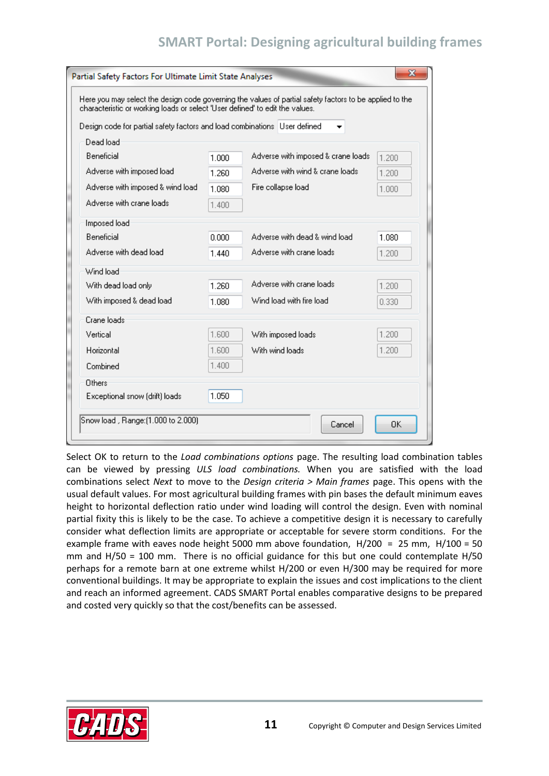| characteristic or working loads or select 'User defined' to edit the values. |       | Here you may select the design code governing the values of partial safety factors to be applied to the |       |
|------------------------------------------------------------------------------|-------|---------------------------------------------------------------------------------------------------------|-------|
| Design code for partial safety factors and load combinations User defined    |       |                                                                                                         |       |
| Dead load                                                                    |       |                                                                                                         |       |
| Beneficial                                                                   | 1.000 | Adverse with imposed & crane loads                                                                      | 1.200 |
| Adverse with imposed load                                                    | 1.260 | Adverse with wind & crane loads                                                                         | 1.200 |
| Adverse with imposed & wind load                                             | 1.080 | Fire collapse load                                                                                      | 1.000 |
| Adverse with crane loads                                                     | 1.400 |                                                                                                         |       |
|                                                                              |       |                                                                                                         |       |
| Imposed load<br><b>Beneficial</b>                                            | 0.000 | Adverse with dead & wind load                                                                           | 1.080 |
| Adverse with dead load                                                       |       | Adverse with crane loads                                                                                |       |
|                                                                              | 1 440 |                                                                                                         | 1.200 |
| Wind load:                                                                   |       |                                                                                                         |       |
| With dead load only                                                          | 1.260 | Adverse with crane loads                                                                                | 1.200 |
| With imposed & dead load                                                     | 1.080 | Wind load with fire load                                                                                | 0.330 |
| Crane loads                                                                  |       |                                                                                                         |       |
| Vertical                                                                     | 1.600 | With imposed loads                                                                                      | 1.200 |
| Horizontal                                                                   | 1.600 | With wind loads                                                                                         | 1.200 |
| Combined                                                                     | 1.400 |                                                                                                         |       |
| Others                                                                       |       |                                                                                                         |       |
| Exceptional snow (drift) loads                                               | 1.050 |                                                                                                         |       |
| Snow load , Range: (1.000 to 2.000)                                          |       |                                                                                                         |       |
|                                                                              |       | Cancel                                                                                                  | 0K    |

Select OK to return to the *Load combinations options* page. The resulting load combination tables can be viewed by pressing *ULS load combinations.* When you are satisfied with the load combinations select *Next* to move to the *Design criteria > Main frames* page. This opens with the usual default values. For most agricultural building frames with pin bases the default minimum eaves height to horizontal deflection ratio under wind loading will control the design. Even with nominal partial fixity this is likely to be the case. To achieve a competitive design it is necessary to carefully consider what deflection limits are appropriate or acceptable for severe storm conditions. For the example frame with eaves node height 5000 mm above foundation,  $H/200 = 25$  mm,  $H/100 = 50$ mm and H/50 = 100 mm. There is no official guidance for this but one could contemplate H/50 perhaps for a remote barn at one extreme whilst H/200 or even H/300 may be required for more conventional buildings. It may be appropriate to explain the issues and cost implications to the client and reach an informed agreement. CADS SMART Portal enables comparative designs to be prepared and costed very quickly so that the cost/benefits can be assessed.

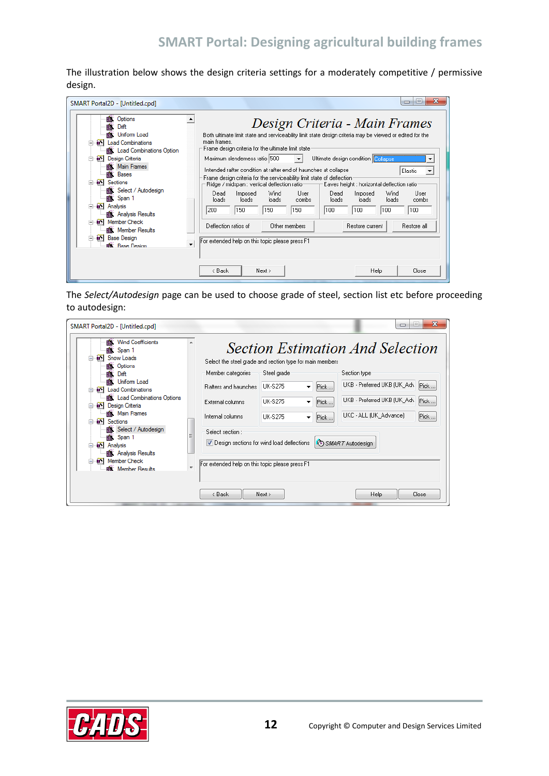The illustration below shows the design criteria settings for a moderately competitive / permissive design.

| SMART Portal2D - [Untitled.cpd]<br>Options<br>職<br>Ŵ<br>Drift<br><b>藤 Uniform Load</b><br>[S] Load Combinations<br><b>图 Load Combinations Option</b><br><b>Design Criteria</b><br>⋿<br><b>藤 Main Frames</b><br><b>图 Bases</b><br><b>a</b> <sup><i>s</i></sup> ] Sections<br><b>藤 Select / Autodesign</b><br>e Span 1<br><b>a</b> <sup>y</sup> Analysis<br>E<br><b>藤 Analysis Results</b> | x<br>E<br>$\Box$<br>Design Criteria - Main Frames<br>Both ultimate limit state and serviceability limit state design criteria may be viewed or edited for the<br>main frames.<br>Frame design criteria for the ultimate limit state<br>Maximum slenderness ratio 500<br>Ultimate design condition Collapse<br>Intended rafter condition at rafter end of haunches at collapse<br><b>Elastic</b><br>▼<br>Frame design criteria for the serviceability limit state of deflection<br>Ridge / midspan : vertical deflection ratio ——<br>- Eaves height : horizontal deflection ratio:<br>Imposed<br>Wind<br>Wind<br>Dead<br>User<br>Dead<br>Imposed<br>User<br>loads<br>loads<br>loads<br>loads<br>combs<br>loads<br>loads<br>combs<br>150<br>100<br>100.<br>150<br>150<br>100<br>100<br> 200 |
|------------------------------------------------------------------------------------------------------------------------------------------------------------------------------------------------------------------------------------------------------------------------------------------------------------------------------------------------------------------------------------------|-------------------------------------------------------------------------------------------------------------------------------------------------------------------------------------------------------------------------------------------------------------------------------------------------------------------------------------------------------------------------------------------------------------------------------------------------------------------------------------------------------------------------------------------------------------------------------------------------------------------------------------------------------------------------------------------------------------------------------------------------------------------------------------------|
| <b>a</b> <sup>S</sup> Member Check<br><b>图 Member Results</b><br><b>B</b> <sup>S</sup> Base Design<br>Ė                                                                                                                                                                                                                                                                                  | Deflection ratios of<br>Other members<br>Restore current<br>Restore all                                                                                                                                                                                                                                                                                                                                                                                                                                                                                                                                                                                                                                                                                                                   |
| <b>Ba</b> Rase Design                                                                                                                                                                                                                                                                                                                                                                    | For extended help on this topic please press F1<br>Next ><br>Help<br>< Back<br>Close                                                                                                                                                                                                                                                                                                                                                                                                                                                                                                                                                                                                                                                                                                      |

The *Select/Autodesign* page can be used to choose grade of steel, section list etc before proceeding to autodesign:

| SMART Portal2D - [Untitled.cpd]                                                                                                                                                                                                                                                                                                                                                                                                                |                                                                                                                                  |                                                                                                                                                                                                                                                                           | ж<br>ie.<br>$\Box$                                                                                                                                                                                   |
|------------------------------------------------------------------------------------------------------------------------------------------------------------------------------------------------------------------------------------------------------------------------------------------------------------------------------------------------------------------------------------------------------------------------------------------------|----------------------------------------------------------------------------------------------------------------------------------|---------------------------------------------------------------------------------------------------------------------------------------------------------------------------------------------------------------------------------------------------------------------------|------------------------------------------------------------------------------------------------------------------------------------------------------------------------------------------------------|
| <b>Wind Coefficients</b><br>矓.<br>19 Span 1<br><b>B</b> <sup>S</sup> Snow Loads<br><b>图 Options</b><br>顣<br>Drift<br><b>感 Uniform Load</b><br>[85] Load Combinations<br>图: Load Combinations Options<br><b>Design Criteria</b><br><b>前 Main Frames</b><br><b>a</b> <sup>S</sup> Sections<br><b>图 Select / Autodesign</b><br>图 Span 1<br>[a <sup>x</sup> ] Analysis<br><b>1 Analysis Results</b><br>Member Check<br><b>Box</b> : Member Results | Member categories<br>Bafters and haunches<br>External columns<br>Internal columns<br>Select section:<br>$\overline{\phantom{a}}$ | Select the steel grade and section type for main members.<br>Steel grade<br>LIK-S275<br>Pick<br>۰<br>TIK-S275<br>Pick<br>▼<br><b>UK-S275</b><br>Pick<br>▼<br>$\triangledown$ Design sections for wind load deflections<br>For extended help on this topic please press F1 | <b>Section Estimation And Selection</b><br>Section type<br>UKB - Preferred UKB (UK_Adv<br>Pick<br>UKB - Preferred UKB (UK_Adv<br>Pick<br>UKC - ALL (UK Advance)<br>Pick<br><b>C</b> SMART Autodesign |
|                                                                                                                                                                                                                                                                                                                                                                                                                                                | < Back                                                                                                                           | Next >                                                                                                                                                                                                                                                                    | Help<br>Close                                                                                                                                                                                        |